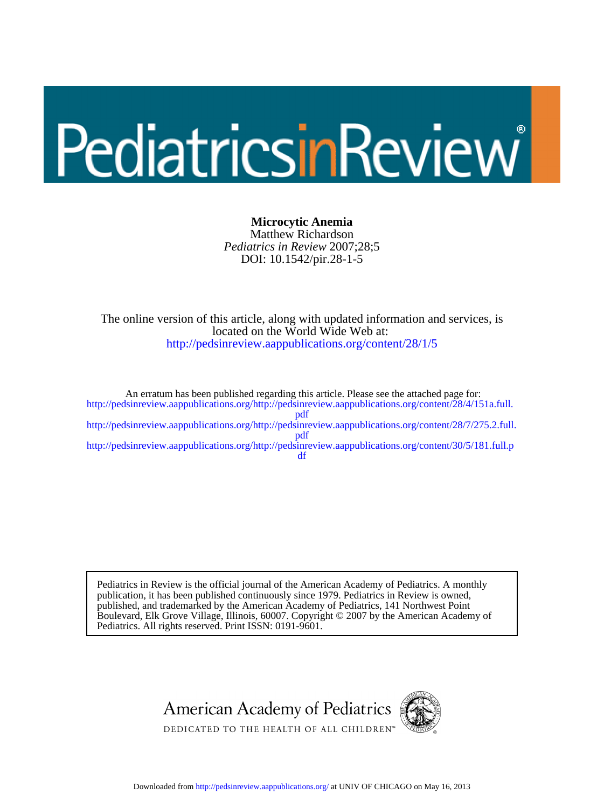# PediatricsinReview

DOI: 10.1542/pir.28-1-5 *Pediatrics in Review* 2007;28;5 Matthew Richardson **Microcytic Anemia**

<http://pedsinreview.aappublications.org/content/28/1/5> located on the World Wide Web at: The online version of this article, along with updated information and services, is

df http://pedsinreview.aappublications.org/http://pedsinreview.aappublications.org/content/30/5/181.full.p pdf http://pedsinreview.aappublications.org/http://pedsinreview.aappublications.org/content/28/7/275.2.full. pdf http://pedsinreview.aappublications.org/http://pedsinreview.aappublications.org/content/28/4/151a.full. An erratum has been published regarding this article. Please see the attached page for:

Pediatrics. All rights reserved. Print ISSN: 0191-9601. Boulevard, Elk Grove Village, Illinois, 60007. Copyright © 2007 by the American Academy of published, and trademarked by the American Academy of Pediatrics, 141 Northwest Point publication, it has been published continuously since 1979. Pediatrics in Review is owned, Pediatrics in Review is the official journal of the American Academy of Pediatrics. A monthly

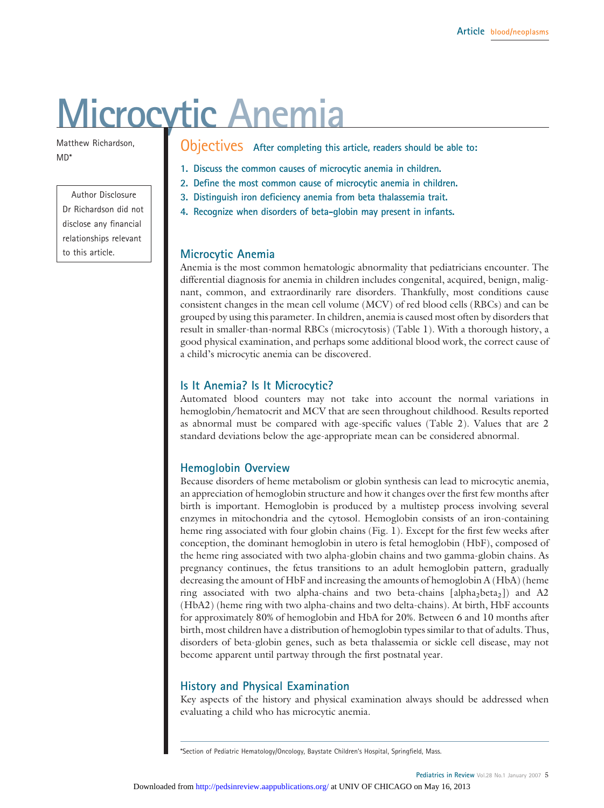# **Microcytic Anemi**

Matthew Richardson, MD\*

Author Disclosure Dr Richardson did not

# Objectives **After completing this article, readers should be able to:**

- **1. Discuss the common causes of microcytic anemia in children.**
- **2. Define the most common cause of microcytic anemia in children.**
- **3. Distinguish iron deficiency anemia from beta thalassemia trait.**
- **4. Recognize when disorders of beta-globin may present in infants.**

# **Microcytic Anemia**

Anemia is the most common hematologic abnormality that pediatricians encounter. The differential diagnosis for anemia in children includes congenital, acquired, benign, malignant, common, and extraordinarily rare disorders. Thankfully, most conditions cause consistent changes in the mean cell volume (MCV) of red blood cells (RBCs) and can be grouped by using this parameter. In children, anemia is caused most often by disorders that result in smaller-than-normal RBCs (microcytosis) (Table 1). With a thorough history, a good physical examination, and perhaps some additional blood work, the correct cause of a child's microcytic anemia can be discovered.

# **Is It Anemia? Is It Microcytic?**

Automated blood counters may not take into account the normal variations in hemoglobin/hematocrit and MCV that are seen throughout childhood. Results reported as abnormal must be compared with age-specific values (Table 2). Values that are 2 standard deviations below the age-appropriate mean can be considered abnormal.

# **Hemoglobin Overview**

Because disorders of heme metabolism or globin synthesis can lead to microcytic anemia, an appreciation of hemoglobin structure and how it changes over the first few months after birth is important. Hemoglobin is produced by a multistep process involving several enzymes in mitochondria and the cytosol. Hemoglobin consists of an iron-containing heme ring associated with four globin chains (Fig. 1). Except for the first few weeks after conception, the dominant hemoglobin in utero is fetal hemoglobin (HbF), composed of the heme ring associated with two alpha-globin chains and two gamma-globin chains. As pregnancy continues, the fetus transitions to an adult hemoglobin pattern, gradually decreasing the amount of HbF and increasing the amounts of hemoglobin A (HbA) (heme ring associated with two alpha-chains and two beta-chains [alpha<sub>2</sub>beta<sub>2</sub>]) and A2 (HbA2) (heme ring with two alpha-chains and two delta-chains). At birth, HbF accounts for approximately 80% of hemoglobin and HbA for 20%. Between 6 and 10 months after birth, most children have a distribution of hemoglobin types similar to that of adults. Thus, disorders of beta-globin genes, such as beta thalassemia or sickle cell disease, may not become apparent until partway through the first postnatal year.

# **History and Physical Examination**

Key aspects of the history and physical examination always should be addressed when evaluating a child who has microcytic anemia.

\*Section of Pediatric Hematology/Oncology, Baystate Children's Hospital, Springfield, Mass.

disclose any financial relationships relevant to this article.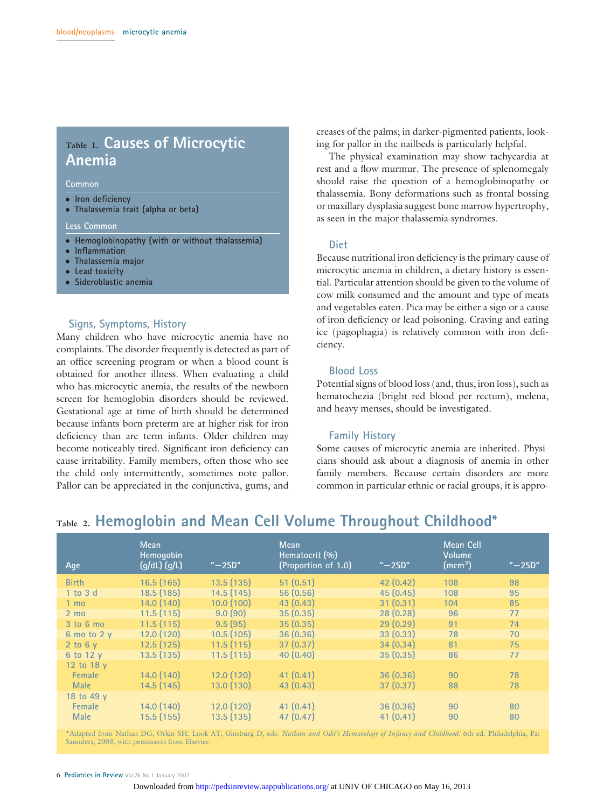# **Table 1. Causes of Microcytic Anemia**

#### **Common**

- **Iron deficiency**
- **Thalassemia trait (alpha or beta)**

#### **Less Common**

- **Hemoglobinopathy (with or without thalassemia)**
- **Inflammation**
- **Thalassemia major**
- **Lead toxicity**
- **Sideroblastic anemia**

#### **Signs, Symptoms, History**

Many children who have microcytic anemia have no complaints. The disorder frequently is detected as part of an office screening program or when a blood count is obtained for another illness. When evaluating a child who has microcytic anemia, the results of the newborn screen for hemoglobin disorders should be reviewed. Gestational age at time of birth should be determined because infants born preterm are at higher risk for iron deficiency than are term infants. Older children may become noticeably tired. Significant iron deficiency can cause irritability. Family members, often those who see the child only intermittently, sometimes note pallor. Pallor can be appreciated in the conjunctiva, gums, and

creases of the palms; in darker-pigmented patients, looking for pallor in the nailbeds is particularly helpful.

The physical examination may show tachycardia at rest and a flow murmur. The presence of splenomegaly should raise the question of a hemoglobinopathy or thalassemia. Bony deformations such as frontal bossing or maxillary dysplasia suggest bone marrow hypertrophy, as seen in the major thalassemia syndromes.

#### **Diet**

Because nutritional iron deficiency is the primary cause of microcytic anemia in children, a dietary history is essential. Particular attention should be given to the volume of cow milk consumed and the amount and type of meats and vegetables eaten. Pica may be either a sign or a cause of iron deficiency or lead poisoning. Craving and eating ice (pagophagia) is relatively common with iron deficiency.

## **Blood Loss**

Potential signs of blood loss (and, thus, iron loss), such as hematochezia (bright red blood per rectum), melena, and heavy menses, should be investigated.

#### **Family History**

Some causes of microcytic anemia are inherited. Physicians should ask about a diagnosis of anemia in other family members. Because certain disorders are more common in particular ethnic or racial groups, it is appro-

# **Table 2. Hemoglobin and Mean Cell Volume Throughout Childhood\***

| Age                                 | <b>Mean</b><br>Hemogobin<br>$(g/dL)$ $(g/L)$ | $"$ - 2SD"             | <b>Mean</b><br>Hematocrit (%)<br>(Proportion of 1.0) | $"$ - 2SD"           | Mean Cell<br>Volume<br>(mcm <sup>3</sup> ) | $"$ -2SD" |
|-------------------------------------|----------------------------------------------|------------------------|------------------------------------------------------|----------------------|--------------------------------------------|-----------|
| <b>Birth</b>                        | 16.5(165)                                    | 13.5(135)              | 51(0.51)                                             | 42(0.42)             | 108                                        | 98        |
| $1$ to $3$ d                        | 18.5(185)                                    | 14.5(145)              | 56(0.56)                                             | 45(0.45)             | 108                                        | 95        |
| $1 \text{ mo}$                      | 14.0 (140)                                   | 10.0(100)              | 43(0.43)                                             | 31(0.31)             | 104                                        | 85        |
| $2 \text{ mo}$                      | 11.5(115)                                    | 9.0(90)                | 35(0.35)                                             | 28(0.28)             | 96                                         | 77        |
| 3 to 6 mo                           | 11.5(115)                                    | 9.5(95)                | 35(0.35)                                             | 29(0.29)             | 91                                         | 74        |
| 6 mo to 2 $v$                       | 12.0(120)                                    | 10.5(105)              | 36(0.36)                                             | 33(0.33)             | 78                                         | 70        |
| $2$ to 6 y                          | 12.5(125)                                    | 11.5(115)              | 37(0.37)                                             | 34(0.34)             | 81                                         | 75        |
| 6 to 12 y                           | 13.5(135)                                    | 11.5(115)              | 40(0.40)                                             | 35(0.35)             | 86                                         | 77        |
| 12 to 18 y                          |                                              |                        |                                                      |                      |                                            |           |
| Female                              | 14.0(140)                                    | 12.0(120)              | 41(0.41)                                             | 36(0.36)             | 90                                         | 78        |
| Male                                | 14.5(145)                                    | 13.0(130)              | 43(0.43)                                             | 37(0.37)             | 88                                         | 78        |
| 18 to 49 y<br>Female<br><b>Male</b> | 14.0(140)<br>15.5(155)                       | 12.0(120)<br>13.5(135) | 41(0.41)<br>47(0.47)                                 | 36(0.36)<br>41(0.41) | 90<br>90                                   | 80<br>80  |

\*Adapted from Nathan DG, Orkin SH, Look AT, Ginsburg D, eds. *Nathan and Oski's Hematology of Infancy and Childhood*. 6th ed. Philadelphia, Pa: Saunders; 2003, with permission from Elsevier.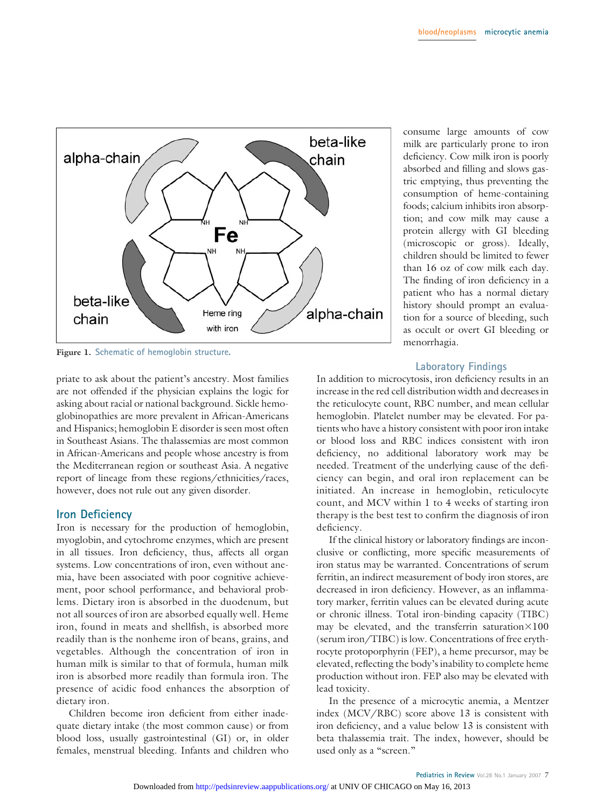

**Figure 1. Schematic of hemoglobin structure.**

priate to ask about the patient's ancestry. Most families are not offended if the physician explains the logic for asking about racial or national background. Sickle hemoglobinopathies are more prevalent in African-Americans and Hispanics; hemoglobin E disorder is seen most often in Southeast Asians. The thalassemias are most common in African-Americans and people whose ancestry is from the Mediterranean region or southeast Asia. A negative report of lineage from these regions/ethnicities/races, however, does not rule out any given disorder.

# **Iron Deficiency**

Iron is necessary for the production of hemoglobin, myoglobin, and cytochrome enzymes, which are present in all tissues. Iron deficiency, thus, affects all organ systems. Low concentrations of iron, even without anemia, have been associated with poor cognitive achievement, poor school performance, and behavioral problems. Dietary iron is absorbed in the duodenum, but not all sources of iron are absorbed equally well. Heme iron, found in meats and shellfish, is absorbed more readily than is the nonheme iron of beans, grains, and vegetables. Although the concentration of iron in human milk is similar to that of formula, human milk iron is absorbed more readily than formula iron. The presence of acidic food enhances the absorption of dietary iron.

Children become iron deficient from either inadequate dietary intake (the most common cause) or from blood loss, usually gastrointestinal (GI) or, in older females, menstrual bleeding. Infants and children who

consume large amounts of cow milk are particularly prone to iron deficiency. Cow milk iron is poorly absorbed and filling and slows gastric emptying, thus preventing the consumption of heme-containing foods; calcium inhibits iron absorption; and cow milk may cause a protein allergy with GI bleeding (microscopic or gross). Ideally, children should be limited to fewer than 16 oz of cow milk each day. The finding of iron deficiency in a patient who has a normal dietary history should prompt an evaluation for a source of bleeding, such as occult or overt GI bleeding or menorrhagia.

# **Laboratory Findings**

In addition to microcytosis, iron deficiency results in an increase in the red cell distribution width and decreases in the reticulocyte count, RBC number, and mean cellular hemoglobin. Platelet number may be elevated. For patients who have a history consistent with poor iron intake or blood loss and RBC indices consistent with iron deficiency, no additional laboratory work may be needed. Treatment of the underlying cause of the deficiency can begin, and oral iron replacement can be initiated. An increase in hemoglobin, reticulocyte count, and MCV within 1 to 4 weeks of starting iron therapy is the best test to confirm the diagnosis of iron deficiency.

If the clinical history or laboratory findings are inconclusive or conflicting, more specific measurements of iron status may be warranted. Concentrations of serum ferritin, an indirect measurement of body iron stores, are decreased in iron deficiency. However, as an inflammatory marker, ferritin values can be elevated during acute or chronic illness. Total iron-binding capacity (TIBC) may be elevated, and the transferrin saturation $\times100$ (serum iron/TIBC) is low. Concentrations of free erythrocyte protoporphyrin (FEP), a heme precursor, may be elevated, reflecting the body's inability to complete heme production without iron. FEP also may be elevated with lead toxicity.

In the presence of a microcytic anemia, a Mentzer index (MCV/RBC) score above 13 is consistent with iron deficiency, and a value below 13 is consistent with beta thalassemia trait. The index, however, should be used only as a "screen."

Pediatrics in Review Vol.28 No.1 January 2007 7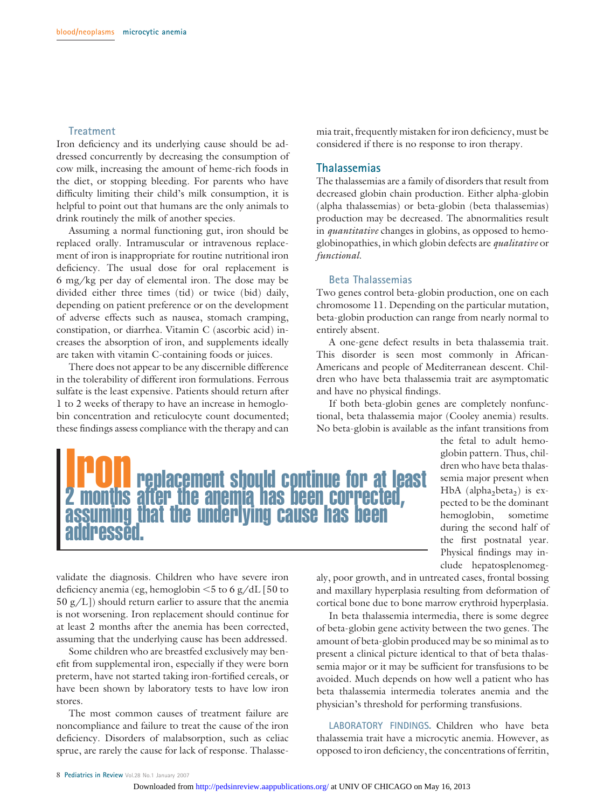# **Treatment**

Iron deficiency and its underlying cause should be addressed concurrently by decreasing the consumption of cow milk, increasing the amount of heme-rich foods in the diet, or stopping bleeding. For parents who have difficulty limiting their child's milk consumption, it is helpful to point out that humans are the only animals to drink routinely the milk of another species.

Assuming a normal functioning gut, iron should be replaced orally. Intramuscular or intravenous replacement of iron is inappropriate for routine nutritional iron deficiency. The usual dose for oral replacement is 6 mg/kg per day of elemental iron. The dose may be divided either three times (tid) or twice (bid) daily, depending on patient preference or on the development of adverse effects such as nausea, stomach cramping, constipation, or diarrhea. Vitamin C (ascorbic acid) increases the absorption of iron, and supplements ideally are taken with vitamin C-containing foods or juices.

There does not appear to be any discernible difference in the tolerability of different iron formulations. Ferrous sulfate is the least expensive. Patients should return after 1 to 2 weeks of therapy to have an increase in hemoglobin concentration and reticulocyte count documented; these findings assess compliance with the therapy and can

mia trait, frequently mistaken for iron deficiency, must be considered if there is no response to iron therapy.

# **Thalassemias**

The thalassemias are a family of disorders that result from decreased globin chain production. Either alpha-globin (alpha thalassemias) or beta-globin (beta thalassemias) production may be decreased. The abnormalities result in *quantitative* changes in globins, as opposed to hemoglobinopathies, in which globin defects are *qualitative* or *functional*.

# **Beta Thalassemias**

Two genes control beta-globin production, one on each chromosome 11. Depending on the particular mutation, beta-globin production can range from nearly normal to entirely absent.

A one-gene defect results in beta thalassemia trait. This disorder is seen most commonly in African-Americans and people of Mediterranean descent. Children who have beta thalassemia trait are asymptomatic and have no physical findings.

If both beta-globin genes are completely nonfunctional, beta thalassemia major (Cooley anemia) results. No beta-globin is available as the infant transitions from

# placement should continue for at least<br>er the anemia has been corrected,<br>at the underlying cause has been

the fetal to adult hemoglobin pattern. Thus, children who have beta thalassemia major present when  $HbA$  (alpha<sub>2</sub>beta<sub>2</sub>) is expected to be the dominant hemoglobin, sometime during the second half of the first postnatal year. Physical findings may include hepatosplenomeg-

validate the diagnosis. Children who have severe iron deficiency anemia (eg, hemoglobin -5 to 6 g/dL [50 to  $50 \text{ g/L}$ ) should return earlier to assure that the anemia is not worsening. Iron replacement should continue for at least 2 months after the anemia has been corrected, assuming that the underlying cause has been addressed.

Some children who are breastfed exclusively may benefit from supplemental iron, especially if they were born preterm, have not started taking iron-fortified cereals, or have been shown by laboratory tests to have low iron stores.

The most common causes of treatment failure are noncompliance and failure to treat the cause of the iron deficiency. Disorders of malabsorption, such as celiac sprue, are rarely the cause for lack of response. Thalassealy, poor growth, and in untreated cases, frontal bossing and maxillary hyperplasia resulting from deformation of cortical bone due to bone marrow erythroid hyperplasia.

In beta thalassemia intermedia, there is some degree of beta-globin gene activity between the two genes. The amount of beta-globin produced may be so minimal as to present a clinical picture identical to that of beta thalassemia major or it may be sufficient for transfusions to be avoided. Much depends on how well a patient who has beta thalassemia intermedia tolerates anemia and the physician's threshold for performing transfusions.

**LABORATORY FINDINGS.** Children who have beta thalassemia trait have a microcytic anemia. However, as opposed to iron deficiency, the concentrations of ferritin,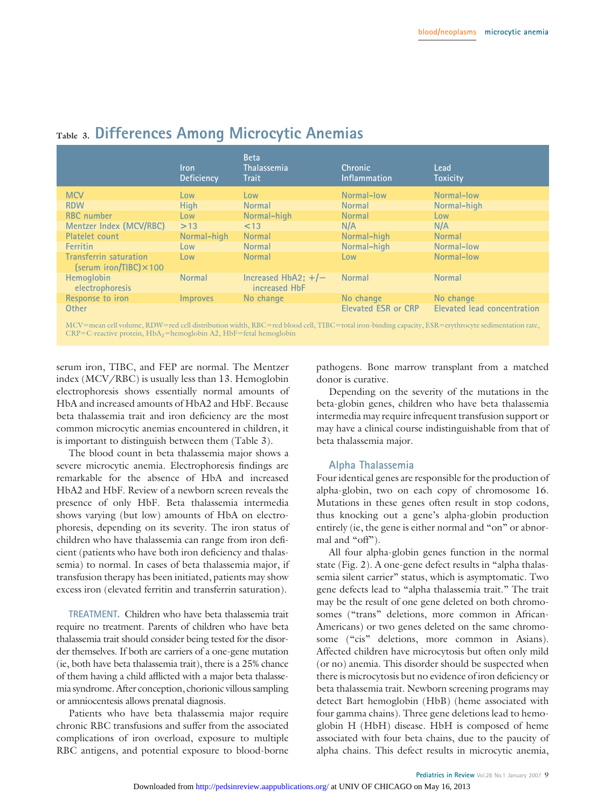|                                                                 | <b>Iron</b><br><b>Deficiency</b> | <b>Beta</b><br>Thalassemia<br><b>Trait</b> | Chronic<br>Inflammation | Lead<br><b>Toxicity</b>     |
|-----------------------------------------------------------------|----------------------------------|--------------------------------------------|-------------------------|-----------------------------|
| <b>MCV</b>                                                      | Low                              | Low                                        | Normal-low              | Normal-low                  |
| <b>RDW</b>                                                      | High                             | <b>Normal</b>                              | <b>Normal</b>           | Normal-high                 |
| <b>RBC</b> number                                               | Low                              | Normal-high                                | <b>Normal</b>           | Low                         |
| Mentzer Index (MCV/RBC)                                         | $>13$                            | < 13                                       | N/A                     | N/A                         |
| Platelet count                                                  | Normal-high                      | <b>Normal</b>                              | Normal-high             | <b>Normal</b>               |
| <b>Ferritin</b>                                                 | Low                              | <b>Normal</b>                              | Normal-high             | Normal-low                  |
| <b>Transferrin saturation</b><br>(serum iron/TIBC) $\times$ 100 | Low                              | <b>Normal</b>                              | Low                     | Normal-low                  |
| Hemoglobin<br>electrophoresis                                   | <b>Normal</b>                    | Increased $HbA2; +/-$<br>increased HbF     | <b>Normal</b>           | <b>Normal</b>               |
| Response to iron                                                | <i><u><b>Improves</b></u></i>    | No change                                  | No change               | No change                   |
| <b>Other</b>                                                    |                                  |                                            | Elevated ESR or CRP     | Elevated lead concentration |

# **Table 3. Differences Among Microcytic Anemias**

MCV=mean cell volume, RDW=red cell distribution width, RBC=red blood cell, TIBC=total iron-binding capacity, ESR=erythrocyte sedimentation rate,  $CRP=C$ -reactive protein,  $HbA_2$ =hemoglobin A2, HbF=fetal hemoglobin

serum iron, TIBC, and FEP are normal. The Mentzer index (MCV/RBC) is usually less than 13. Hemoglobin electrophoresis shows essentially normal amounts of HbA and increased amounts of HbA2 and HbF. Because beta thalassemia trait and iron deficiency are the most common microcytic anemias encountered in children, it is important to distinguish between them (Table 3).

The blood count in beta thalassemia major shows a severe microcytic anemia. Electrophoresis findings are remarkable for the absence of HbA and increased HbA2 and HbF. Review of a newborn screen reveals the presence of only HbF. Beta thalassemia intermedia shows varying (but low) amounts of HbA on electrophoresis, depending on its severity. The iron status of children who have thalassemia can range from iron deficient (patients who have both iron deficiency and thalassemia) to normal. In cases of beta thalassemia major, if transfusion therapy has been initiated, patients may show excess iron (elevated ferritin and transferrin saturation).

**TREATMENT.** Children who have beta thalassemia trait require no treatment. Parents of children who have beta thalassemia trait should consider being tested for the disorder themselves. If both are carriers of a one-gene mutation (ie, both have beta thalassemia trait), there is a 25% chance of them having a child afflicted with a major beta thalassemia syndrome. After conception, chorionic villous sampling or amniocentesis allows prenatal diagnosis.

Patients who have beta thalassemia major require chronic RBC transfusions and suffer from the associated complications of iron overload, exposure to multiple RBC antigens, and potential exposure to blood-borne

pathogens. Bone marrow transplant from a matched donor is curative.

Depending on the severity of the mutations in the beta-globin genes, children who have beta thalassemia intermedia may require infrequent transfusion support or may have a clinical course indistinguishable from that of beta thalassemia major.

# **Alpha Thalassemia**

Four identical genes are responsible for the production of alpha-globin, two on each copy of chromosome 16. Mutations in these genes often result in stop codons, thus knocking out a gene's alpha-globin production entirely (ie, the gene is either normal and "on" or abnormal and "off").

All four alpha-globin genes function in the normal state (Fig. 2). A one-gene defect results in "alpha thalassemia silent carrier" status, which is asymptomatic. Two gene defects lead to "alpha thalassemia trait." The trait may be the result of one gene deleted on both chromosomes ("trans" deletions, more common in African-Americans) or two genes deleted on the same chromosome ("cis" deletions, more common in Asians). Affected children have microcytosis but often only mild (or no) anemia. This disorder should be suspected when there is microcytosis but no evidence of iron deficiency or beta thalassemia trait. Newborn screening programs may detect Bart hemoglobin (HbB) (heme associated with four gamma chains). Three gene deletions lead to hemoglobin H (HbH) disease. HbH is composed of heme associated with four beta chains, due to the paucity of alpha chains. This defect results in microcytic anemia,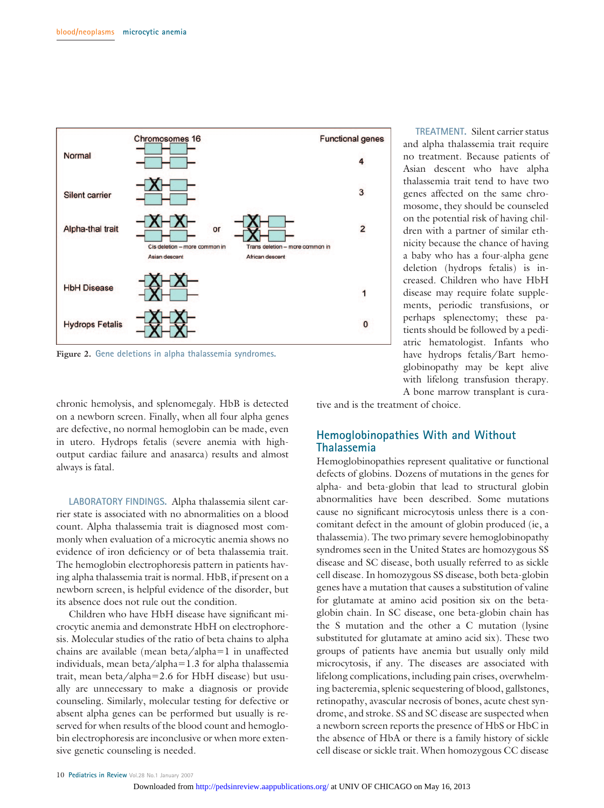

**Figure 2. Gene deletions in alpha thalassemia syndromes.**

chronic hemolysis, and splenomegaly. HbB is detected on a newborn screen. Finally, when all four alpha genes are defective, no normal hemoglobin can be made, even in utero. Hydrops fetalis (severe anemia with highoutput cardiac failure and anasarca) results and almost always is fatal.

**LABORATORY FINDINGS.** Alpha thalassemia silent carrier state is associated with no abnormalities on a blood count. Alpha thalassemia trait is diagnosed most commonly when evaluation of a microcytic anemia shows no evidence of iron deficiency or of beta thalassemia trait. The hemoglobin electrophoresis pattern in patients having alpha thalassemia trait is normal. HbB, if present on a newborn screen, is helpful evidence of the disorder, but its absence does not rule out the condition.

Children who have HbH disease have significant microcytic anemia and demonstrate HbH on electrophoresis. Molecular studies of the ratio of beta chains to alpha chains are available (mean beta/alpha= $1$  in unaffected individuals, mean beta/alpha= $1.3$  for alpha thalassemia trait, mean beta/alpha= $2.6$  for HbH disease) but usually are unnecessary to make a diagnosis or provide counseling. Similarly, molecular testing for defective or absent alpha genes can be performed but usually is reserved for when results of the blood count and hemoglobin electrophoresis are inconclusive or when more extensive genetic counseling is needed.

**TREATMENT.** Silent carrier status and alpha thalassemia trait require no treatment. Because patients of Asian descent who have alpha thalassemia trait tend to have two genes affected on the same chromosome, they should be counseled on the potential risk of having children with a partner of similar ethnicity because the chance of having a baby who has a four-alpha gene deletion (hydrops fetalis) is increased. Children who have HbH disease may require folate supplements, periodic transfusions, or perhaps splenectomy; these patients should be followed by a pediatric hematologist. Infants who have hydrops fetalis/Bart hemoglobinopathy may be kept alive with lifelong transfusion therapy. A bone marrow transplant is cura-

tive and is the treatment of choice.

# **Hemoglobinopathies With and Without Thalassemia**

Hemoglobinopathies represent qualitative or functional defects of globins. Dozens of mutations in the genes for alpha- and beta-globin that lead to structural globin abnormalities have been described. Some mutations cause no significant microcytosis unless there is a concomitant defect in the amount of globin produced (ie, a thalassemia). The two primary severe hemoglobinopathy syndromes seen in the United States are homozygous SS disease and SC disease, both usually referred to as sickle cell disease. In homozygous SS disease, both beta-globin genes have a mutation that causes a substitution of valine for glutamate at amino acid position six on the betaglobin chain. In SC disease, one beta-globin chain has the S mutation and the other a C mutation (lysine substituted for glutamate at amino acid six). These two groups of patients have anemia but usually only mild microcytosis, if any. The diseases are associated with lifelong complications, including pain crises, overwhelming bacteremia, splenic sequestering of blood, gallstones, retinopathy, avascular necrosis of bones, acute chest syndrome, and stroke. SS and SC disease are suspected when a newborn screen reports the presence of HbS or HbC in the absence of HbA or there is a family history of sickle cell disease or sickle trait. When homozygous CC disease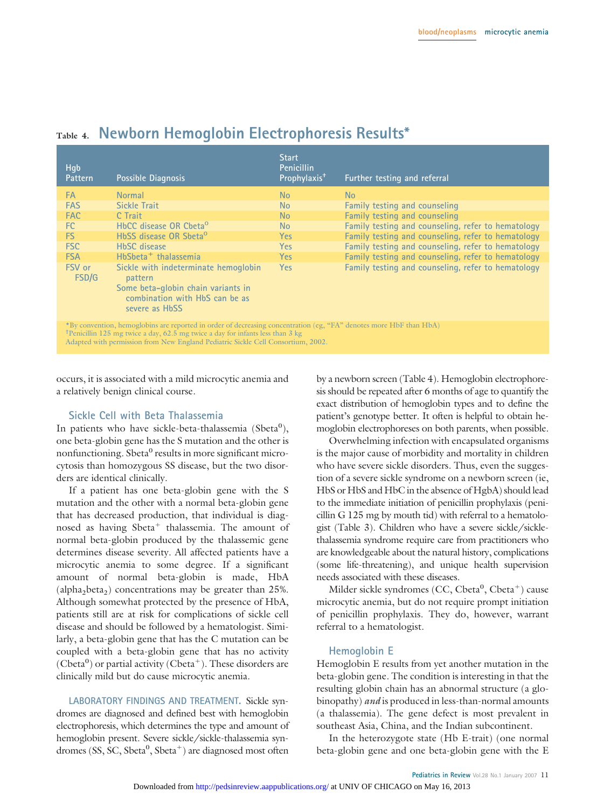| <b>Hgb</b><br>Pattern  | Possible Diagnosis                                                                                                                                                        | <b>Start</b><br>Penicillin<br>Prophylaxis <sup>+</sup> | Further testing and referral                       |
|------------------------|---------------------------------------------------------------------------------------------------------------------------------------------------------------------------|--------------------------------------------------------|----------------------------------------------------|
| <b>FA</b>              | <b>Normal</b>                                                                                                                                                             | N <sub>o</sub>                                         | <b>No</b>                                          |
| <b>FAS</b>             | <b>Sickle Trait</b>                                                                                                                                                       | N <sub>o</sub>                                         | Family testing and counseling                      |
| <b>FAC</b>             | C Trait                                                                                                                                                                   | N <sub>o</sub>                                         | Family testing and counseling                      |
| FC.                    | HbCC disease OR Cbeta <sup>o</sup>                                                                                                                                        | N <sub>o</sub>                                         | Family testing and counseling, refer to hematology |
| <b>FS</b>              | HbSS disease OR Sbeta <sup>o</sup>                                                                                                                                        | <b>Yes</b>                                             | Family testing and counseling, refer to hematology |
| <b>FSC</b>             | HbSC disease                                                                                                                                                              | <b>Yes</b>                                             | Family testing and counseling, refer to hematology |
| <b>FSA</b>             | HbSbeta <sup>+</sup> thalassemia                                                                                                                                          | <b>Yes</b>                                             | Family testing and counseling, refer to hematology |
| FSV or<br><b>FSD/G</b> | Sickle with indeterminate hemoglobin<br>pattern<br>Some beta-globin chain variants in<br>combination with HbS can be as<br>severe as HbSS                                 | <b>Yes</b>                                             | Family testing and counseling, refer to hematology |
|                        | *By convention, hemoglobins are reported in order of decreasing concentration (eg, "FA" denotes more HbF than HbA)<br>the summary services are the services of the annual |                                                        |                                                    |

# **Table 4. Newborn Hemoglobin Electrophoresis Results\***

† Penicillin 125 mg twice a day, 62.5 mg twice a day for infants less than 3 kg

Adapted with permission from New England Pediatric Sickle Cell Consortium, 2002.

occurs, it is associated with a mild microcytic anemia and a relatively benign clinical course.

# **Sickle Cell with Beta Thalassemia**

In patients who have sickle-beta-thalassemia (Sbeta<sup>0</sup>), one beta-globin gene has the S mutation and the other is nonfunctioning. Sbeta<sup>0</sup> results in more significant microcytosis than homozygous SS disease, but the two disorders are identical clinically.

If a patient has one beta-globin gene with the S mutation and the other with a normal beta-globin gene that has decreased production, that individual is diagnosed as having Sbeta<sup>+</sup> thalassemia. The amount of normal beta-globin produced by the thalassemic gene determines disease severity. All affected patients have a microcytic anemia to some degree. If a significant amount of normal beta-globin is made, HbA (alpha<sub>2</sub>beta<sub>2</sub>) concentrations may be greater than  $25\%$ . Although somewhat protected by the presence of HbA, patients still are at risk for complications of sickle cell disease and should be followed by a hematologist. Similarly, a beta-globin gene that has the C mutation can be coupled with a beta-globin gene that has no activity (Cbeta $^0$ ) or partial activity (Cbeta<sup>+</sup>). These disorders are clinically mild but do cause microcytic anemia.

**LABORATORY FINDINGS AND TREATMENT.** Sickle syndromes are diagnosed and defined best with hemoglobin electrophoresis, which determines the type and amount of hemoglobin present. Severe sickle/sickle-thalassemia syndromes (SS, SC, Sbeta<sup>0</sup>, Sbeta<sup>+</sup>) are diagnosed most often

by a newborn screen (Table 4). Hemoglobin electrophoresis should be repeated after 6 months of age to quantify the exact distribution of hemoglobin types and to define the patient's genotype better. It often is helpful to obtain hemoglobin electrophoreses on both parents, when possible.

Overwhelming infection with encapsulated organisms is the major cause of morbidity and mortality in children who have severe sickle disorders. Thus, even the suggestion of a severe sickle syndrome on a newborn screen (ie, HbS or HbS and HbC in the absence of HgbA) should lead to the immediate initiation of penicillin prophylaxis (penicillin G 125 mg by mouth tid) with referral to a hematologist (Table 3). Children who have a severe sickle/sicklethalassemia syndrome require care from practitioners who are knowledgeable about the natural history, complications (some life-threatening), and unique health supervision needs associated with these diseases.

Milder sickle syndromes (CC, Cbeta<sup>0</sup>, Cbeta<sup>+</sup>) cause microcytic anemia, but do not require prompt initiation of penicillin prophylaxis. They do, however, warrant referral to a hematologist.

# **Hemoglobin E**

Hemoglobin E results from yet another mutation in the beta-globin gene. The condition is interesting in that the resulting globin chain has an abnormal structure (a globinopathy) *and* is produced in less-than-normal amounts (a thalassemia). The gene defect is most prevalent in southeast Asia, China, and the Indian subcontinent.

In the heterozygote state (Hb E-trait) (one normal beta-globin gene and one beta-globin gene with the E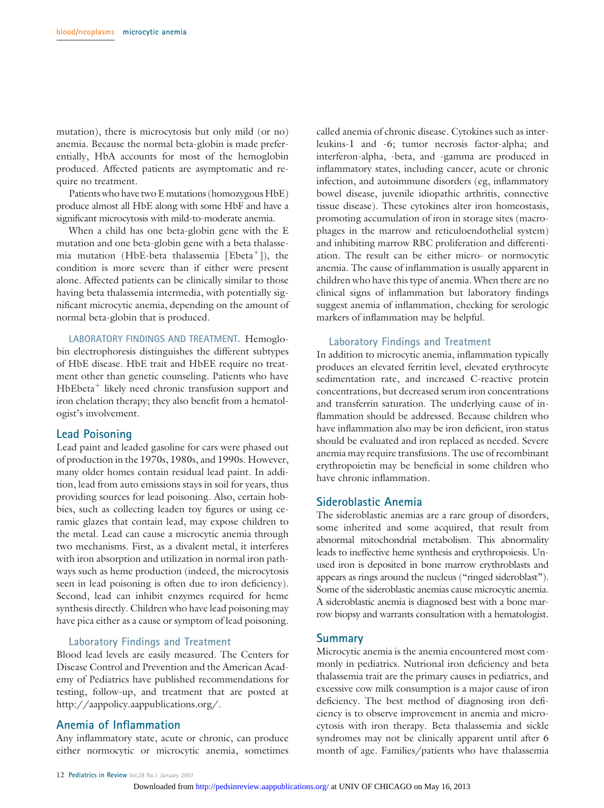mutation), there is microcytosis but only mild (or no) anemia. Because the normal beta-globin is made preferentially, HbA accounts for most of the hemoglobin produced. Affected patients are asymptomatic and require no treatment.

Patients who have two E mutations (homozygous HbE) produce almost all HbE along with some HbF and have a significant microcytosis with mild-to-moderate anemia.

When a child has one beta-globin gene with the E mutation and one beta-globin gene with a beta thalassemia mutation (HbE-beta thalassemia [Ebeta $^+$ ]), the condition is more severe than if either were present alone. Affected patients can be clinically similar to those having beta thalassemia intermedia, with potentially significant microcytic anemia, depending on the amount of normal beta-globin that is produced.

**LABORATORY FINDINGS AND TREATMENT.** Hemoglobin electrophoresis distinguishes the different subtypes of HbE disease. HbE trait and HbEE require no treatment other than genetic counseling. Patients who have HbEbeta<sup>+</sup> likely need chronic transfusion support and iron chelation therapy; they also benefit from a hematologist's involvement.

# **Lead Poisoning**

Lead paint and leaded gasoline for cars were phased out of production in the 1970s, 1980s, and 1990s. However, many older homes contain residual lead paint. In addition, lead from auto emissions stays in soil for years, thus providing sources for lead poisoning. Also, certain hobbies, such as collecting leaden toy figures or using ceramic glazes that contain lead, may expose children to the metal. Lead can cause a microcytic anemia through two mechanisms. First, as a divalent metal, it interferes with iron absorption and utilization in normal iron pathways such as heme production (indeed, the microcytosis seen in lead poisoning is often due to iron deficiency). Second, lead can inhibit enzymes required for heme synthesis directly. Children who have lead poisoning may have pica either as a cause or symptom of lead poisoning.

# **Laboratory Findings and Treatment**

Blood lead levels are easily measured. The Centers for Disease Control and Prevention and the American Academy of Pediatrics have published recommendations for testing, follow-up, and treatment that are posted at http://aappolicy.aappublications.org/.

# **Anemia of Inflammation**

Any inflammatory state, acute or chronic, can produce either normocytic or microcytic anemia, sometimes

called anemia of chronic disease. Cytokines such as interleukins-1 and -6; tumor necrosis factor-alpha; and interferon-alpha, -beta, and -gamma are produced in inflammatory states, including cancer, acute or chronic infection, and autoimmune disorders (eg, inflammatory bowel disease, juvenile idiopathic arthritis, connective tissue disease). These cytokines alter iron homeostasis, promoting accumulation of iron in storage sites (macrophages in the marrow and reticuloendothelial system) and inhibiting marrow RBC proliferation and differentiation. The result can be either micro- or normocytic anemia. The cause of inflammation is usually apparent in children who have this type of anemia. When there are no clinical signs of inflammation but laboratory findings suggest anemia of inflammation, checking for serologic markers of inflammation may be helpful.

## **Laboratory Findings and Treatment**

In addition to microcytic anemia, inflammation typically produces an elevated ferritin level, elevated erythrocyte sedimentation rate, and increased C-reactive protein concentrations, but decreased serum iron concentrations and transferrin saturation. The underlying cause of inflammation should be addressed. Because children who have inflammation also may be iron deficient, iron status should be evaluated and iron replaced as needed. Severe anemia may require transfusions. The use of recombinant erythropoietin may be beneficial in some children who have chronic inflammation.

# **Sideroblastic Anemia**

The sideroblastic anemias are a rare group of disorders, some inherited and some acquired, that result from abnormal mitochondrial metabolism. This abnormality leads to ineffective heme synthesis and erythropoiesis. Unused iron is deposited in bone marrow erythroblasts and appears as rings around the nucleus ("ringed sideroblast"). Some of the sideroblastic anemias cause microcytic anemia. A sideroblastic anemia is diagnosed best with a bone marrow biopsy and warrants consultation with a hematologist.

# **Summary**

Microcytic anemia is the anemia encountered most commonly in pediatrics. Nutrional iron deficiency and beta thalassemia trait are the primary causes in pediatrics, and excessive cow milk consumption is a major cause of iron deficiency. The best method of diagnosing iron deficiency is to observe improvement in anemia and microcytosis with iron therapy. Beta thalassemia and sickle syndromes may not be clinically apparent until after 6 month of age. Families/patients who have thalassemia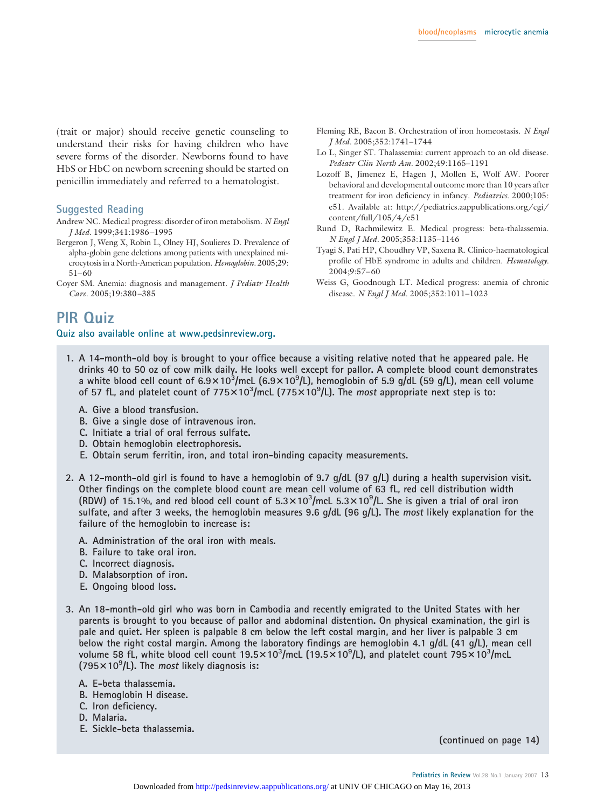(trait or major) should receive genetic counseling to understand their risks for having children who have severe forms of the disorder. Newborns found to have HbS or HbC on newborn screening should be started on penicillin immediately and referred to a hematologist.

# **Suggested Reading**

- Andrew NC. Medical progress: disorder of iron metabolism. *N Engl J Med.* 1999;341:1986–1995
- Bergeron J, Weng X, Robin L, Olney HJ, Soulieres D. Prevalence of alpha-globin gene deletions among patients with unexplained microcytosis in a North-American population. *Hemoglobin.* 2005;29: 51–60
- Coyer SM. Anemia: diagnosis and management. *J Pediatr Health Care.* 2005;19:380–385
- Fleming RE, Bacon B. Orchestration of iron homeostasis. *N Engl J Med.* 2005;352:1741–1744
- Lo L, Singer ST. Thalassemia: current approach to an old disease. *Pediatr Clin North Am.* 2002;49:1165–1191
- Lozoff B, Jimenez E, Hagen J, Mollen E, Wolf AW. Poorer behavioral and developmental outcome more than 10 years after treatment for iron deficiency in infancy. *Pediatrics.* 2000;105: e51. Available at: http://pediatrics.aappublications.org/cgi/ content/full/105/4/e51
- Rund D, Rachmilewitz E. Medical progress: beta-thalassemia. *N Engl J Med.* 2005;353:1135–1146
- Tyagi S, Pati HP, Choudhry VP, Saxena R. Clinico-haematological profile of HbE syndrome in adults and children. *Hematology.*  $2004.9.57-60$
- Weiss G, Goodnough LT. Medical progress: anemia of chronic disease. *N Engl J Med.* 2005;352:1011–1023

# **PIR Quiz**

### **Quiz also available online at www.pedsinreview.org.**

- **1. A 14-month-old boy is brought to your office because a visiting relative noted that he appeared pale. He drinks 40 to 50 oz of cow milk daily. He looks well except for pallor. A complete blood count demonstrates a** white blood cell count of 6.9×10<sup>3</sup>/mcL (6.9×10<sup>9</sup>/L), hemoglobin of 5.9 g/dL (59 g/L), mean cell volume **of 57 fL, and platelet count of 775**-**10<sup>3</sup> /mcL (775**-**10<sup>9</sup> /L). The most appropriate next step is to:**
	- **A. Give a blood transfusion.**
	- **B. Give a single dose of intravenous iron.**
	- **C. Initiate a trial of oral ferrous sulfate.**
	- **D. Obtain hemoglobin electrophoresis.**
	- **E. Obtain serum ferritin, iron, and total iron-binding capacity measurements.**
- **2. A 12-month-old girl is found to have a hemoglobin of 9.7 g/dL (97 g/L) during a health supervision visit. Other findings on the complete blood count are mean cell volume of 63 fL, red cell distribution width**  $(RDW)$  of 15.1%, and red blood cell count of  $5.3 \times 10^3$ /mcL  $5.3 \times 10^9$ /L. She is given a trial of oral iron **sulfate, and after 3 weeks, the hemoglobin measures 9.6 g/dL (96 g/L). The most likely explanation for the failure of the hemoglobin to increase is:**
	- **A. Administration of the oral iron with meals.**
	- **B. Failure to take oral iron.**
	- **C. Incorrect diagnosis.**
	- **D. Malabsorption of iron.**
	- **E. Ongoing blood loss.**
- **3. An 18-month-old girl who was born in Cambodia and recently emigrated to the United States with her parents is brought to you because of pallor and abdominal distention. On physical examination, the girl is pale and quiet. Her spleen is palpable 8 cm below the left costal margin, and her liver is palpable 3 cm below the right costal margin. Among the laboratory findings are hemoglobin 4.1 g/dL (41 g/L), mean cell volume 58 fL, white blood cell count 19.5**-**103 /mcL (19.5**-**109 /L), and platelet count 795**-**103 /mcL (795**-**109 /L). The most likely diagnosis is:**
	- **A. E-beta thalassemia.**
	- **B. Hemoglobin H disease.**
	- **C. Iron deficiency.**
	- **D. Malaria.**
	- **E. Sickle-beta thalassemia.**

**(continued on page 14)**

Pediatrics in Review Vol.28 No.1 January 2007 13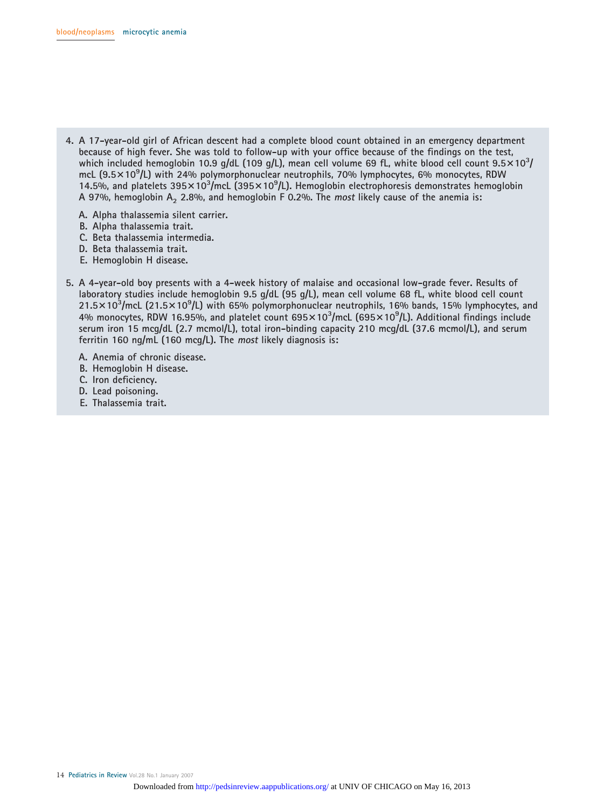- **4. A 17-year-old girl of African descent had a complete blood count obtained in an emergency department because of high fever. She was told to follow-up with your office because of the findings on the test,** which included hemoglobin 10.9 g/dL (109 g/L), mean cell volume 69 fL, white blood cell count 9.5×10<sup>3</sup>/ mcL (9.5×10<sup>9</sup>/L) with 24% polymorphonuclear neutrophils, 70% lymphocytes, 6% monocytes, RDW 14.5%, and platelets 395×10<sup>3</sup>/mcL (395×10<sup>9</sup>/L). Hemoglobin electrophoresis demonstrates hemoglobin **A 97%, hemoglobin A2 2.8%, and hemoglobin F 0.2%. The most likely cause of the anemia is:**
	- **A. Alpha thalassemia silent carrier.**
	- **B. Alpha thalassemia trait.**
	- **C. Beta thalassemia intermedia.**
	- **D. Beta thalassemia trait.**
	- **E. Hemoglobin H disease.**
- **5. A 4-year-old boy presents with a 4-week history of malaise and occasional low-grade fever. Results of laboratory studies include hemoglobin 9.5 g/dL (95 g/L), mean cell volume 68 fL, white blood cell count** 21.5×10<sup>3</sup>/mcL (21.5×10<sup>9</sup>/L) with 65% polymorphonuclear neutrophils, 16% bands, 15% lymphocytes, and **4% monocytes, RDW 16.95%, and platelet count 695**-**103 /mcL (695**-**109 /L). Additional findings include serum iron 15 mcg/dL (2.7 mcmol/L), total iron-binding capacity 210 mcg/dL (37.6 mcmol/L), and serum ferritin 160 ng/mL (160 mcg/L). The most likely diagnosis is:**
	- **A. Anemia of chronic disease.**
	- **B. Hemoglobin H disease.**
	- **C. Iron deficiency.**
	- **D. Lead poisoning.**
	- **E. Thalassemia trait.**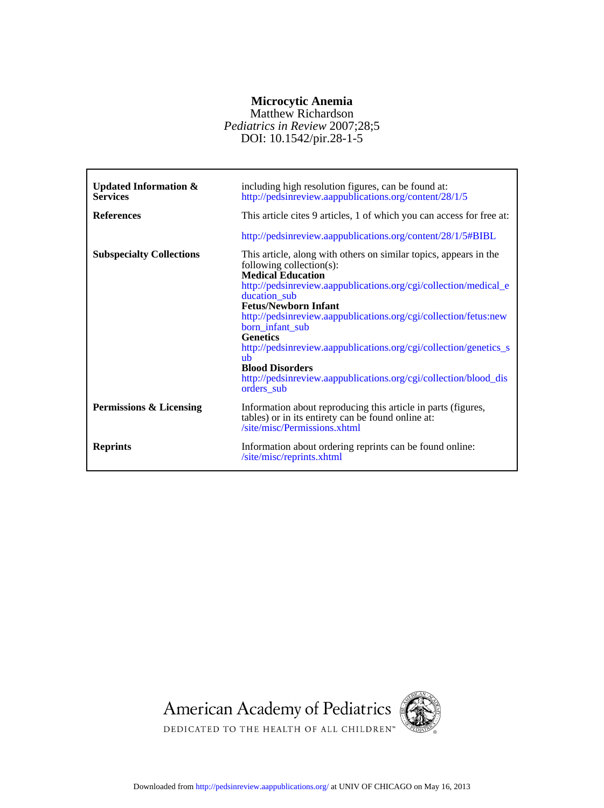# **Microcytic Anemia**

DOI: 10.1542/pir.28-1-5 *Pediatrics in Review* 2007;28;5 Matthew Richardson

| <b>Updated Information &amp;</b><br><b>Services</b> | including high resolution figures, can be found at:<br>http://pedsinreview.aappublications.org/content/28/1/5                                                                                                                                                                                                                                                                                                                                                                                                                                 |
|-----------------------------------------------------|-----------------------------------------------------------------------------------------------------------------------------------------------------------------------------------------------------------------------------------------------------------------------------------------------------------------------------------------------------------------------------------------------------------------------------------------------------------------------------------------------------------------------------------------------|
| <b>References</b>                                   | This article cites 9 articles, 1 of which you can access for free at:<br>http://pedsinreview.aappublications.org/content/28/1/5#BIBL                                                                                                                                                                                                                                                                                                                                                                                                          |
| <b>Subspecialty Collections</b>                     | This article, along with others on similar topics, appears in the<br>following collection(s):<br><b>Medical Education</b><br>http://pedsinreview.aappublications.org/cgi/collection/medical_e<br>ducation sub<br><b>Fetus/Newborn Infant</b><br>http://pedsinreview.aappublications.org/cgi/collection/fetus:new<br>born_infant_sub<br><b>Genetics</b><br>http://pedsinreview.aappublications.org/cgi/collection/genetics_s<br>ub<br><b>Blood Disorders</b><br>http://pedsinreview.aappublications.org/cgi/collection/blood_dis<br>orders sub |
| Permissions & Licensing                             | Information about reproducing this article in parts (figures,<br>tables) or in its entirety can be found online at:<br>/site/misc/Permissions.xhtml                                                                                                                                                                                                                                                                                                                                                                                           |
| <b>Reprints</b>                                     | Information about ordering reprints can be found online:<br>/site/misc/reprints.xhtml                                                                                                                                                                                                                                                                                                                                                                                                                                                         |

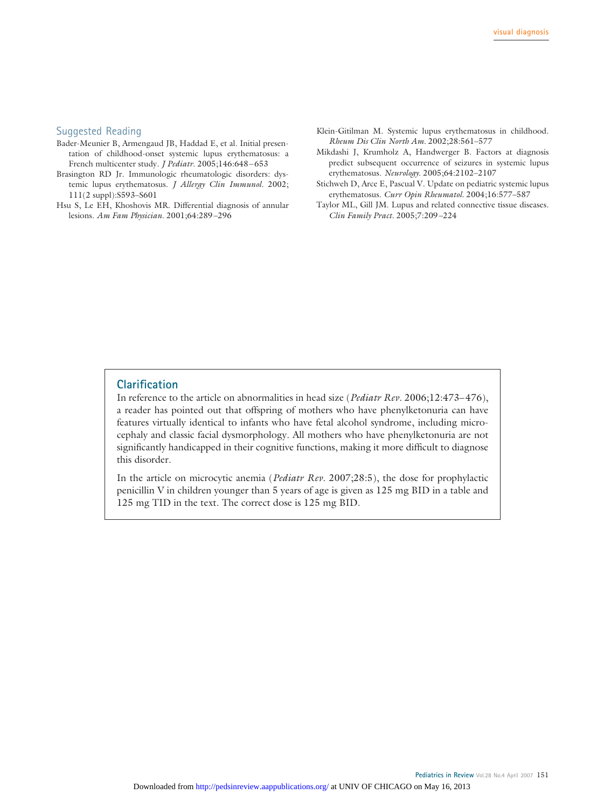### Suggested Reading

- Bader-Meunier B, Armengaud JB, Haddad E, et al. Initial presentation of childhood-onset systemic lupus erythematosus: a French multicenter study. *J Pediatr.* 2005;146:648–653
- Brasington RD Jr. Immunologic rheumatologic disorders: dystemic lupus erythematosus. *J Allergy Clin Immunol.* 2002; 111(2 suppl):S593–S601
- Hsu S, Le EH, Khoshovis MR. Differential diagnosis of annular lesions. *Am Fam Physician.* 2001;64:289–296
- Klein-Gitilman M. Systemic lupus erythematosus in childhood. *Rheum Dis Clin North Am.* 2002;28:561–577
- Mikdashi J, Krumholz A, Handwerger B. Factors at diagnosis predict subsequent occurrence of seizures in systemic lupus erythematosus. *Neurology.* 2005;64:2102–2107
- Stichweh D, Arce E, Pascual V. Update on pediatric systemic lupus erythematosus. *Curr Opin Rheumatol.* 2004;16:577–587
- Taylor ML, Gill JM. Lupus and related connective tissue diseases. *Clin Family Pract.* 2005;7:209–224

# **Clarification**

In reference to the article on abnormalities in head size (*Pediatr Rev*. 2006;12:473–476), a reader has pointed out that offspring of mothers who have phenylketonuria can have features virtually identical to infants who have fetal alcohol syndrome, including microcephaly and classic facial dysmorphology. All mothers who have phenylketonuria are not significantly handicapped in their cognitive functions, making it more difficult to diagnose this disorder.

In the article on microcytic anemia (*Pediatr Rev.* 2007;28:5), the dose for prophylactic penicillin V in children younger than 5 years of age is given as 125 mg BID in a table and 125 mg TID in the text. The correct dose is 125 mg BID.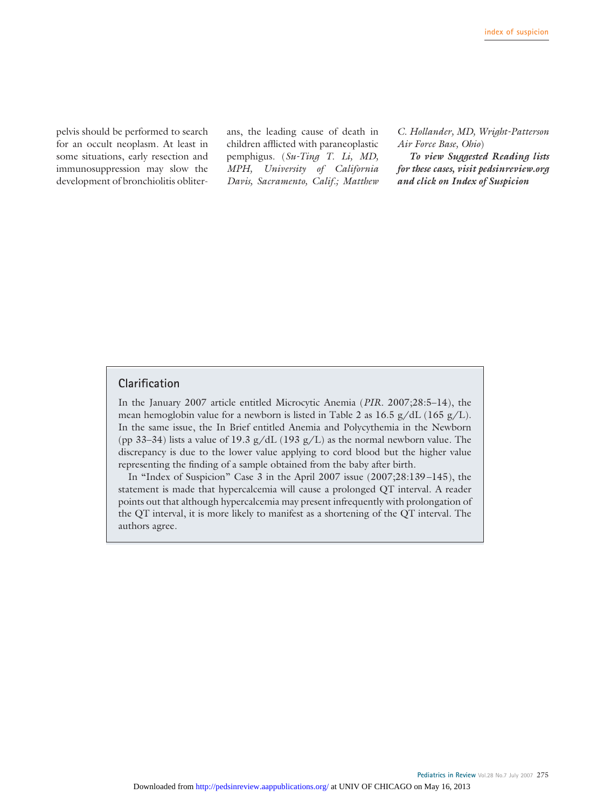pelvis should be performed to search for an occult neoplasm. At least in some situations, early resection and immunosuppression may slow the development of bronchiolitis obliterans, the leading cause of death in children afflicted with paraneoplastic pemphigus. (*Su-Ting T. Li, MD, MPH, University of California Davis, Sacramento, Calif.; Matthew* *C. Hollander, MD, Wright-Patterson Air Force Base, Ohio*)

*To view Suggested Reading lists for these cases, visit pedsinreview.org and click on Index of Suspicion*

# **Clarification**

In the January 2007 article entitled Microcytic Anemia (*PIR.* 2007;28:5–14), the mean hemoglobin value for a newborn is listed in Table 2 as  $16.5$  g/dL ( $165$  g/L). In the same issue, the In Brief entitled Anemia and Polycythemia in the Newborn (pp 33–34) lists a value of 19.3 g/dL (193 g/L) as the normal newborn value. The discrepancy is due to the lower value applying to cord blood but the higher value representing the finding of a sample obtained from the baby after birth.

In "Index of Suspicion" Case 3 in the April 2007 issue (2007;28:139–145), the statement is made that hypercalcemia will cause a prolonged QT interval. A reader points out that although hypercalcemia may present infrequently with prolongation of the QT interval, it is more likely to manifest as a shortening of the QT interval. The authors agree.